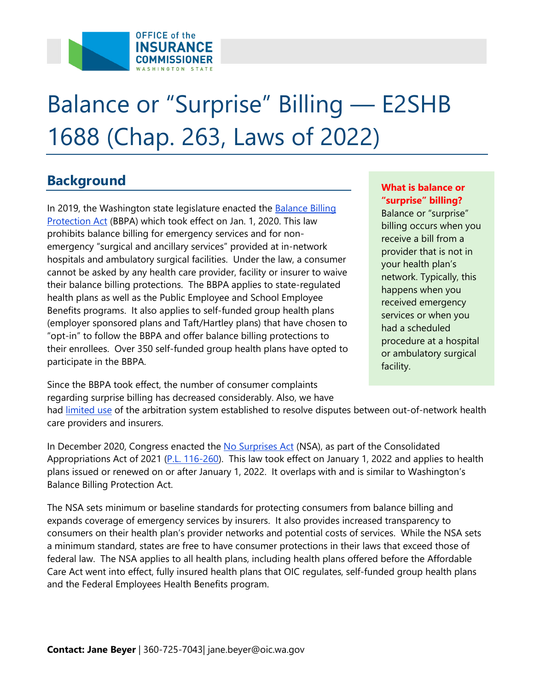

# Balance or "Surprise" Billing — E2SHB 1688 (Chap. 263, Laws of 2022)

### **Background What is balance or all the set of the set of the set of the set of the set of the set of the set of the set of the set of the set of the set of the set of the set of the set of the set of the set of the set of**

Protection Act (BBPA) which took effect on Jan. 1, 2020. This law their balance billing protections. The BBPA applies to state-regulated health plans as well as the Public Employee and School Employee Benefits programs. It also applies to self-funded group health plans [In 2019, the Wa](https://www.insurance.wa.gov/surprise-billing-and-balance-billing-protection-act)shington state legislature enacted the <u>Balance Billing</u><br> [Protection Act](https://www.insurance.wa.gov/surprise-billing-and-balance-billing-protection-act) (BBPA) which took effect on Jan. 1, 2020. This law<br>
prohibits balance billing for emergency services and for non-<br>
emergency "surgical emergency "surgical and ancillary services" provided at in-network<br>
hospitals and ambulatory surgical facilities. Under the law, a consumer<br>
cannot be asked by any health care provider, facility or insurer to waive<br>
their "opt-in" to follow the BBPA and offer balance billing protections to procedure at a hospital their enrollees. Over 350 self-funded group health plans have opted to or ambulatory surgical participate in the BBPA. facility.

Since the BBPA took effect, the number of consumer complaints regarding surprise billing has decreased considerably. Also, we have

had [limited use](https://www.insurance.wa.gov/sites/default/files/documents/bbpa-annual-arbitration-report-2021_0.pdf) of the arbitration system established to resolve disputes between out-of-network health care providers and insurers.

Appropriations Act of 2021 (<u>P.L. 116-260</u>). This law took effect on January 1, 2022 and applies to health . plans issued or renewed on or after January 1, 2022. It overlaps with and is similar to Washington's **Balance Billing Protection Act.** In December 2020, Congress enacted the [No Surprises Act](https://www.cms.gov/nosurprises) (NSA), as part of the Consolidated

Balance Billing Protection Act.<br>The NSA sets minimum or baseline standards for protecting consumers from balance billing and consumers on their health plan's provider networks and potential costs of services. While the NSA sets expands coverage of emergency services by insurers. It also provides increased transparency to a minimum standard, states are free to have consumer protections in their laws that exceed those of federal law. The NSA applies to all health plans, including health plans offered before the Affordable Care Act went into effect, fully insured health plans that OIC regulates, self-funded group health plans and the Federal Employees Health Benefits program.